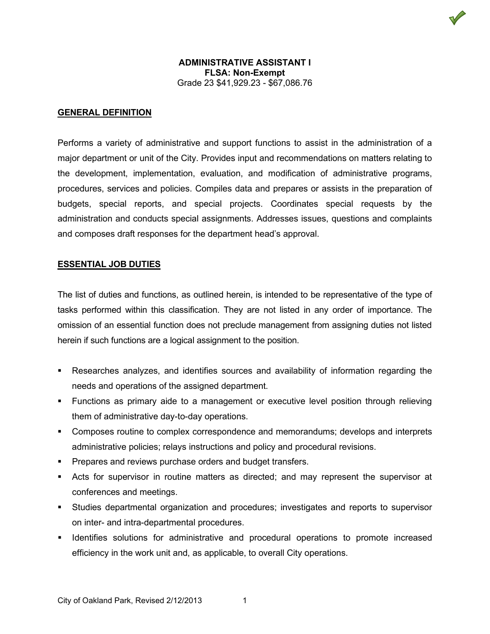

### **GENERAL DEFINITION**

Performs a variety of administrative and support functions to assist in the administration of a major department or unit of the City. Provides input and recommendations on matters relating to the development, implementation, evaluation, and modification of administrative programs, procedures, services and policies. Compiles data and prepares or assists in the preparation of budgets, special reports, and special projects. Coordinates special requests by the administration and conducts special assignments. Addresses issues, questions and complaints and composes draft responses for the department head's approval.

#### **ESSENTIAL JOB DUTIES**

The list of duties and functions, as outlined herein, is intended to be representative of the type of tasks performed within this classification. They are not listed in any order of importance. The omission of an essential function does not preclude management from assigning duties not listed herein if such functions are a logical assignment to the position.

- Researches analyzes, and identifies sources and availability of information regarding the needs and operations of the assigned department.
- Functions as primary aide to a management or executive level position through relieving them of administrative day-to-day operations.
- **EX Composes routine to complex correspondence and memorandums; develops and interprets** administrative policies; relays instructions and policy and procedural revisions.
- **Prepares and reviews purchase orders and budget transfers.**
- Acts for supervisor in routine matters as directed; and may represent the supervisor at conferences and meetings.
- Studies departmental organization and procedures; investigates and reports to supervisor on inter- and intra-departmental procedures.
- Identifies solutions for administrative and procedural operations to promote increased efficiency in the work unit and, as applicable, to overall City operations.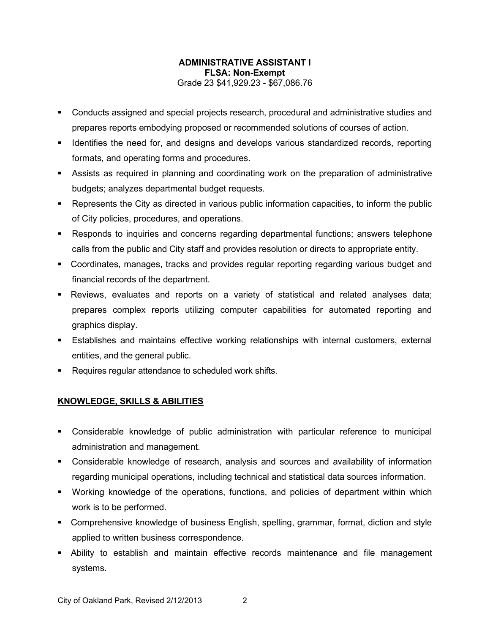- Conducts assigned and special projects research, procedural and administrative studies and prepares reports embodying proposed or recommended solutions of courses of action.
- **IDENT IDENT IS A LOCATE THE IDENT IS NOTEN IS NOTEN.** I dentifies the need for and the need for and the locating formats, and operating forms and procedures.
- Assists as required in planning and coordinating work on the preparation of administrative budgets; analyzes departmental budget requests.
- Represents the City as directed in various public information capacities, to inform the public of City policies, procedures, and operations.
- Responds to inquiries and concerns regarding departmental functions; answers telephone calls from the public and City staff and provides resolution or directs to appropriate entity.
- Coordinates, manages, tracks and provides regular reporting regarding various budget and financial records of the department.
- Reviews, evaluates and reports on a variety of statistical and related analyses data; prepares complex reports utilizing computer capabilities for automated reporting and graphics display.
- Establishes and maintains effective working relationships with internal customers, external entities, and the general public.
- Requires regular attendance to scheduled work shifts.

# **KNOWLEDGE, SKILLS & ABILITIES**

- Considerable knowledge of public administration with particular reference to municipal administration and management.
- Considerable knowledge of research, analysis and sources and availability of information regarding municipal operations, including technical and statistical data sources information.
- Working knowledge of the operations, functions, and policies of department within which work is to be performed.
- Comprehensive knowledge of business English, spelling, grammar, format, diction and style applied to written business correspondence.
- Ability to establish and maintain effective records maintenance and file management systems.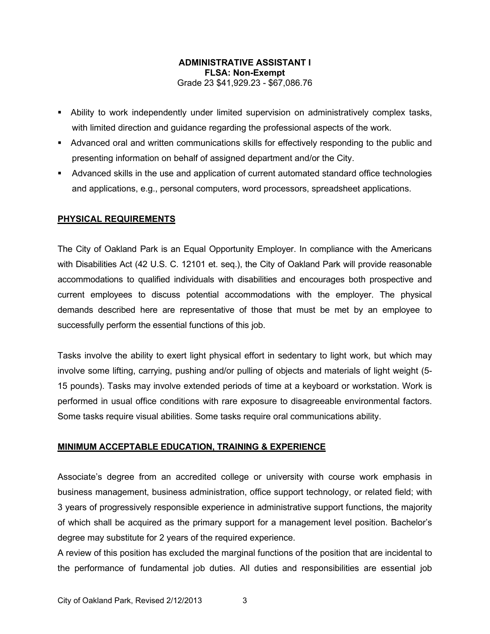- Ability to work independently under limited supervision on administratively complex tasks, with limited direction and guidance regarding the professional aspects of the work.
- Advanced oral and written communications skills for effectively responding to the public and presenting information on behalf of assigned department and/or the City.
- Advanced skills in the use and application of current automated standard office technologies and applications, e.g., personal computers, word processors, spreadsheet applications.

## **PHYSICAL REQUIREMENTS**

The City of Oakland Park is an Equal Opportunity Employer. In compliance with the Americans with Disabilities Act (42 U.S. C. 12101 et. seq.), the City of Oakland Park will provide reasonable accommodations to qualified individuals with disabilities and encourages both prospective and current employees to discuss potential accommodations with the employer. The physical demands described here are representative of those that must be met by an employee to successfully perform the essential functions of this job.

Tasks involve the ability to exert light physical effort in sedentary to light work, but which may involve some lifting, carrying, pushing and/or pulling of objects and materials of light weight (5- 15 pounds). Tasks may involve extended periods of time at a keyboard or workstation. Work is performed in usual office conditions with rare exposure to disagreeable environmental factors. Some tasks require visual abilities. Some tasks require oral communications ability.

## **MINIMUM ACCEPTABLE EDUCATION, TRAINING & EXPERIENCE**

Associate's degree from an accredited college or university with course work emphasis in business management, business administration, office support technology, or related field; with 3 years of progressively responsible experience in administrative support functions, the majority of which shall be acquired as the primary support for a management level position. Bachelor's degree may substitute for 2 years of the required experience.

A review of this position has excluded the marginal functions of the position that are incidental to the performance of fundamental job duties. All duties and responsibilities are essential job